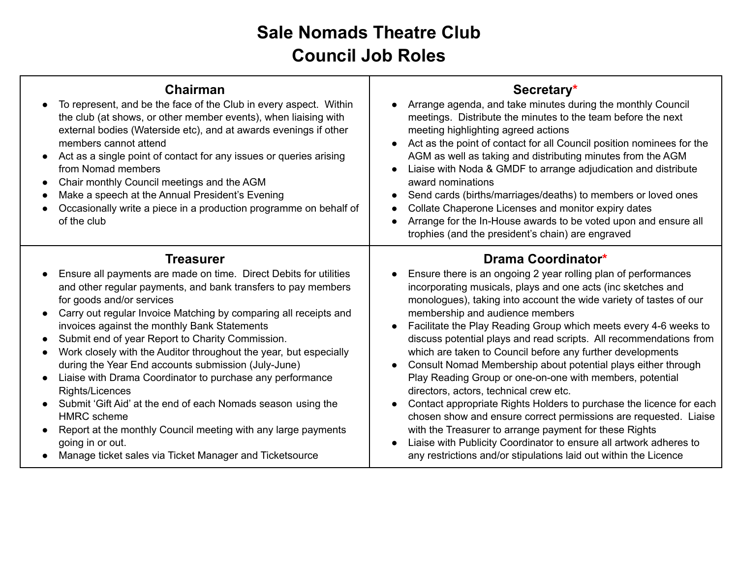## **Sale Nomads Theatre Club Council Job Roles**

| <b>Chairman</b><br>To represent, and be the face of the Club in every aspect. Within<br>the club (at shows, or other member events), when liaising with<br>external bodies (Waterside etc), and at awards evenings if other                                                                                                                                                                                                                                                                                                                                                                                                                                                                                                                                                                                                                          | Secretary*<br>Arrange agenda, and take minutes during the monthly Council<br>$\bullet$<br>meetings. Distribute the minutes to the team before the next<br>meeting highlighting agreed actions                                                                                                                                                                                                                                                                                                                                                                                                                                                                                                                                                                                                                                                                                                                                                                                                            |
|------------------------------------------------------------------------------------------------------------------------------------------------------------------------------------------------------------------------------------------------------------------------------------------------------------------------------------------------------------------------------------------------------------------------------------------------------------------------------------------------------------------------------------------------------------------------------------------------------------------------------------------------------------------------------------------------------------------------------------------------------------------------------------------------------------------------------------------------------|----------------------------------------------------------------------------------------------------------------------------------------------------------------------------------------------------------------------------------------------------------------------------------------------------------------------------------------------------------------------------------------------------------------------------------------------------------------------------------------------------------------------------------------------------------------------------------------------------------------------------------------------------------------------------------------------------------------------------------------------------------------------------------------------------------------------------------------------------------------------------------------------------------------------------------------------------------------------------------------------------------|
| members cannot attend<br>Act as a single point of contact for any issues or queries arising<br>from Nomad members<br>Chair monthly Council meetings and the AGM<br>Make a speech at the Annual President's Evening<br>Occasionally write a piece in a production programme on behalf of<br>of the club                                                                                                                                                                                                                                                                                                                                                                                                                                                                                                                                               | Act as the point of contact for all Council position nominees for the<br>$\bullet$<br>AGM as well as taking and distributing minutes from the AGM<br>Liaise with Noda & GMDF to arrange adjudication and distribute<br>award nominations<br>Send cards (births/marriages/deaths) to members or loved ones<br>$\bullet$<br>Collate Chaperone Licenses and monitor expiry dates<br>Arrange for the In-House awards to be voted upon and ensure all<br>$\bullet$<br>trophies (and the president's chain) are engraved                                                                                                                                                                                                                                                                                                                                                                                                                                                                                       |
| <b>Treasurer</b><br>Ensure all payments are made on time. Direct Debits for utilities<br>and other regular payments, and bank transfers to pay members<br>for goods and/or services<br>Carry out regular Invoice Matching by comparing all receipts and<br>$\bullet$<br>invoices against the monthly Bank Statements<br>Submit end of year Report to Charity Commission.<br>$\bullet$<br>Work closely with the Auditor throughout the year, but especially<br>during the Year End accounts submission (July-June)<br>Liaise with Drama Coordinator to purchase any performance<br>$\bullet$<br>Rights/Licences<br>Submit 'Gift Aid' at the end of each Nomads season using the<br><b>HMRC</b> scheme<br>Report at the monthly Council meeting with any large payments<br>going in or out.<br>Manage ticket sales via Ticket Manager and Ticketsource | Drama Coordinator*<br>Ensure there is an ongoing 2 year rolling plan of performances<br>$\bullet$<br>incorporating musicals, plays and one acts (inc sketches and<br>monologues), taking into account the wide variety of tastes of our<br>membership and audience members<br>Facilitate the Play Reading Group which meets every 4-6 weeks to<br>discuss potential plays and read scripts. All recommendations from<br>which are taken to Council before any further developments<br>Consult Nomad Membership about potential plays either through<br>Play Reading Group or one-on-one with members, potential<br>directors, actors, technical crew etc.<br>Contact appropriate Rights Holders to purchase the licence for each<br>chosen show and ensure correct permissions are requested. Liaise<br>with the Treasurer to arrange payment for these Rights<br>Liaise with Publicity Coordinator to ensure all artwork adheres to<br>any restrictions and/or stipulations laid out within the Licence |